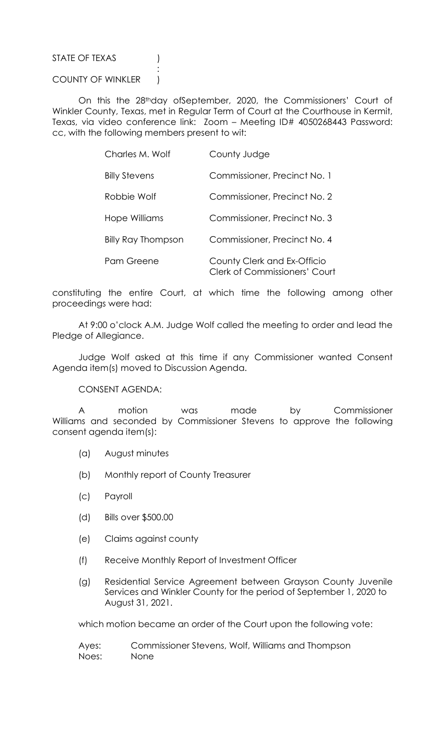## STATE OF TEXAS (1)

## COUNTY OF WINKLER )

**Service State State State State** 

 On this the 28thday ofSeptember, 2020, the Commissioners' Court of Winkler County, Texas, met in Regular Term of Court at the Courthouse in Kermit, Texas, via video conference link: Zoom – Meeting ID# 4050268443 Password: cc, with the following members present to wit:

| Charles M. Wolf           | County Judge                                                        |
|---------------------------|---------------------------------------------------------------------|
| <b>Billy Stevens</b>      | Commissioner, Precinct No. 1                                        |
| Robbie Wolf               | Commissioner, Precinct No. 2                                        |
| Hope Williams             | Commissioner, Precinct No. 3                                        |
| <b>Billy Ray Thompson</b> | Commissioner, Precinct No. 4                                        |
| Pam Greene                | County Clerk and Ex-Officio<br><b>Clerk of Commissioners' Court</b> |

constituting the entire Court, at which time the following among other proceedings were had:

 At 9:00 o'clock A.M. Judge Wolf called the meeting to order and lead the Pledge of Allegiance.

 Judge Wolf asked at this time if any Commissioner wanted Consent Agenda item(s) moved to Discussion Agenda.

CONSENT AGENDA:

 A motion was made by Commissioner Williams and seconded by Commissioner Stevens to approve the following consent agenda item(s):

- (a) August minutes
- (b) Monthly report of County Treasurer
- (c) Payroll
- (d) Bills over \$500.00
- (e) Claims against county
- (f) Receive Monthly Report of Investment Officer
- (g) Residential Service Agreement between Grayson County Juvenile Services and Winkler County for the period of September 1, 2020 to August 31, 2021.

which motion became an order of the Court upon the following vote:

| Ayes: | Commissioner Stevens, Wolf, Williams and Thompson |
|-------|---------------------------------------------------|
| Noes: | None                                              |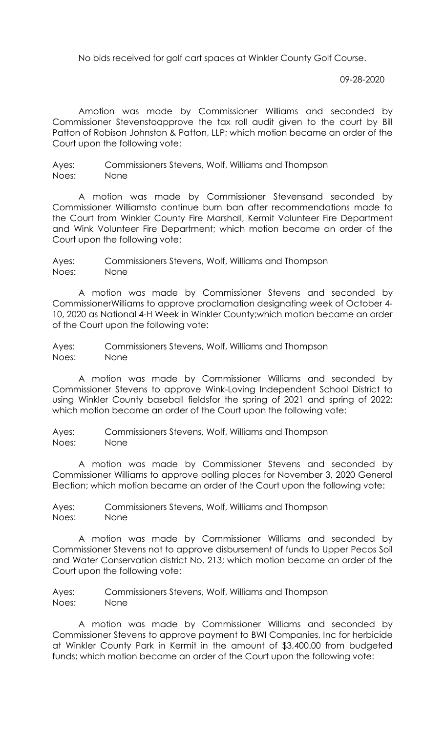No bids received for golf cart spaces at Winkler County Golf Course.

09-28-2020

 Amotion was made by Commissioner Williams and seconded by Commissioner Stevenstoapprove the tax roll audit given to the court by Bill Patton of Robison Johnston & Patton, LLP; which motion became an order of the Court upon the following vote:

Ayes: Commissioners Stevens, Wolf, Williams and Thompson Noes: None

 A motion was made by Commissioner Stevensand seconded by Commissioner Williamsto continue burn ban after recommendations made to the Court from Winkler County Fire Marshall, Kermit Volunteer Fire Department and Wink Volunteer Fire Department; which motion became an order of the Court upon the following vote:

Ayes: Commissioners Stevens, Wolf, Williams and Thompson Noes: None

 A motion was made by Commissioner Stevens and seconded by CommissionerWilliams to approve proclamation designating week of October 4- 10, 2020 as National 4-H Week in Winkler County;which motion became an order of the Court upon the following vote:

Ayes: Commissioners Stevens, Wolf, Williams and Thompson Noes: None

 A motion was made by Commissioner Williams and seconded by Commissioner Stevens to approve Wink-Loving Independent School District to using Winkler County baseball fieldsfor the spring of 2021 and spring of 2022; which motion became an order of the Court upon the following vote:

Ayes: Commissioners Stevens, Wolf, Williams and Thompson Noes: None

 A motion was made by Commissioner Stevens and seconded by Commissioner Williams to approve polling places for November 3, 2020 General Election; which motion became an order of the Court upon the following vote:

Ayes: Commissioners Stevens, Wolf, Williams and Thompson Noes: None

 A motion was made by Commissioner Williams and seconded by Commissioner Stevens not to approve disbursement of funds to Upper Pecos Soil and Water Conservation district No. 213; which motion became an order of the Court upon the following vote:

Ayes: Commissioners Stevens, Wolf, Williams and Thompson Noes: None

 A motion was made by Commissioner Williams and seconded by Commissioner Stevens to approve payment to BWI Companies, Inc for herbicide at Winkler County Park in Kermit in the amount of \$3,400.00 from budgeted funds; which motion became an order of the Court upon the following vote: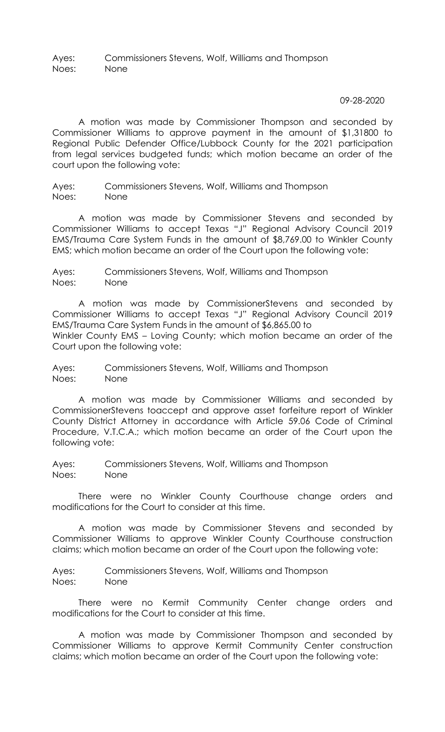Ayes: Commissioners Stevens, Wolf, Williams and Thompson Noes: None

09-28-2020

 A motion was made by Commissioner Thompson and seconded by Commissioner Williams to approve payment in the amount of \$1,31800 to Regional Public Defender Office/Lubbock County for the 2021 participation from legal services budgeted funds; which motion became an order of the court upon the following vote:

Ayes: Commissioners Stevens, Wolf, Williams and Thompson Noes: None

 A motion was made by Commissioner Stevens and seconded by Commissioner Williams to accept Texas "J" Regional Advisory Council 2019 EMS/Trauma Care System Funds in the amount of \$8,769.00 to Winkler County EMS; which motion became an order of the Court upon the following vote:

Ayes: Commissioners Stevens, Wolf, Williams and Thompson Noes: None

 A motion was made by CommissionerStevens and seconded by Commissioner Williams to accept Texas "J" Regional Advisory Council 2019 EMS/Trauma Care System Funds in the amount of \$6,865.00 to Winkler County EMS – Loving County; which motion became an order of the Court upon the following vote:

Ayes: Commissioners Stevens, Wolf, Williams and Thompson Noes: None

 A motion was made by Commissioner Williams and seconded by CommissionerStevens toaccept and approve asset forfeiture report of Winkler County District Attorney in accordance with Article 59.06 Code of Criminal Procedure, V.T.C.A.; which motion became an order of the Court upon the following vote:

Ayes: Commissioners Stevens, Wolf, Williams and Thompson Noes: None

 There were no Winkler County Courthouse change orders and modifications for the Court to consider at this time.

 A motion was made by Commissioner Stevens and seconded by Commissioner Williams to approve Winkler County Courthouse construction claims; which motion became an order of the Court upon the following vote:

Ayes: Commissioners Stevens, Wolf, Williams and Thompson Noes: None

 There were no Kermit Community Center change orders and modifications for the Court to consider at this time.

 A motion was made by Commissioner Thompson and seconded by Commissioner Williams to approve Kermit Community Center construction claims; which motion became an order of the Court upon the following vote: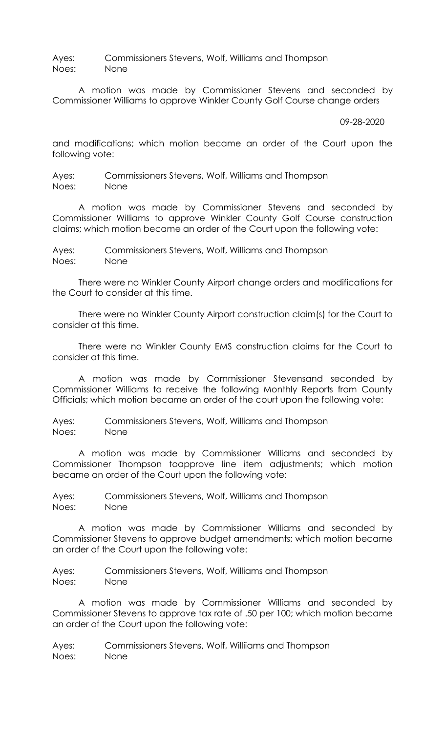Ayes: Commissioners Stevens, Wolf, Williams and Thompson Noes: None

 A motion was made by Commissioner Stevens and seconded by Commissioner Williams to approve Winkler County Golf Course change orders

## 09-28-2020

and modifications; which motion became an order of the Court upon the following vote:

Ayes: Commissioners Stevens, Wolf, Williams and Thompson Noes: None

 A motion was made by Commissioner Stevens and seconded by Commissioner Williams to approve Winkler County Golf Course construction claims; which motion became an order of the Court upon the following vote:

Ayes: Commissioners Stevens, Wolf, Williams and Thompson Noes: None

 There were no Winkler County Airport change orders and modifications for the Court to consider at this time.

 There were no Winkler County Airport construction claim(s) for the Court to consider at this time.

 There were no Winkler County EMS construction claims for the Court to consider at this time.

A motion was made by Commissioner Stevensand seconded by Commissioner Williams to receive the following Monthly Reports from County Officials; which motion became an order of the court upon the following vote:

Ayes: Commissioners Stevens, Wolf, Williams and Thompson Noes: None

 A motion was made by Commissioner Williams and seconded by Commissioner Thompson toapprove line item adjustments; which motion became an order of the Court upon the following vote:

Ayes: Commissioners Stevens, Wolf, Williams and Thompson Noes: None

 A motion was made by Commissioner Williams and seconded by Commissioner Stevens to approve budget amendments; which motion became an order of the Court upon the following vote:

Ayes: Commissioners Stevens, Wolf, Williams and Thompson Noes: None

 A motion was made by Commissioner Williams and seconded by Commissioner Stevens to approve tax rate of .50 per 100; which motion became an order of the Court upon the following vote:

Ayes: Commissioners Stevens, Wolf, Williiams and Thompson Noes: None